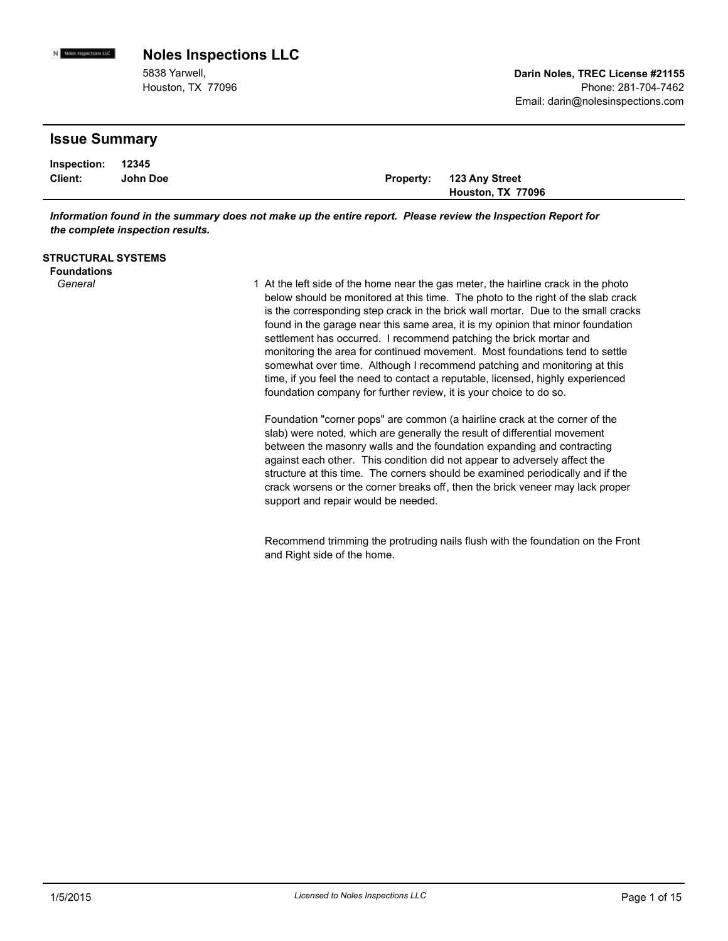5838 Yarwell, Houston, TX 77096

### **Issue Summary**

N Noies Impections LLC

| Inspection: 12345 |          |                          |
|-------------------|----------|--------------------------|
| Client:           | John Doe | Property: 123 Any Street |
|                   |          | Houston, TX 77096        |

*Information found in the summary does not make up the entire report. Please review the Inspection Report for the complete inspection results.*

| <b>STRUCTURAL SYSTEMS</b> |  |
|---------------------------|--|
|---------------------------|--|

**Foundations**

General **At the left side of the home near the gas meter**, the hairline crack in the photo *General* below should be monitored at this time. The photo to the right of the slab crack is the corresponding step crack in the brick wall mortar. Due to the small cracks found in the garage near this same area, it is my opinion that minor foundation settlement has occurred. I recommend patching the brick mortar and monitoring the area for continued movement. Most foundations tend to settle somewhat over time. Although I recommend patching and monitoring at this time, if you feel the need to contact a reputable, licensed, highly experienced foundation company for further review, it is your choice to do so.

> Foundation "corner pops" are common (a hairline crack at the corner of the slab) were noted, which are generally the result of differential movement between the masonry walls and the foundation expanding and contracting against each other. This condition did not appear to adversely affect the structure at this time. The corners should be examined periodically and if the crack worsens or the corner breaks off, then the brick veneer may lack proper support and repair would be needed.

Recommend trimming the protruding nails flush with the foundation on the Front and Right side of the home.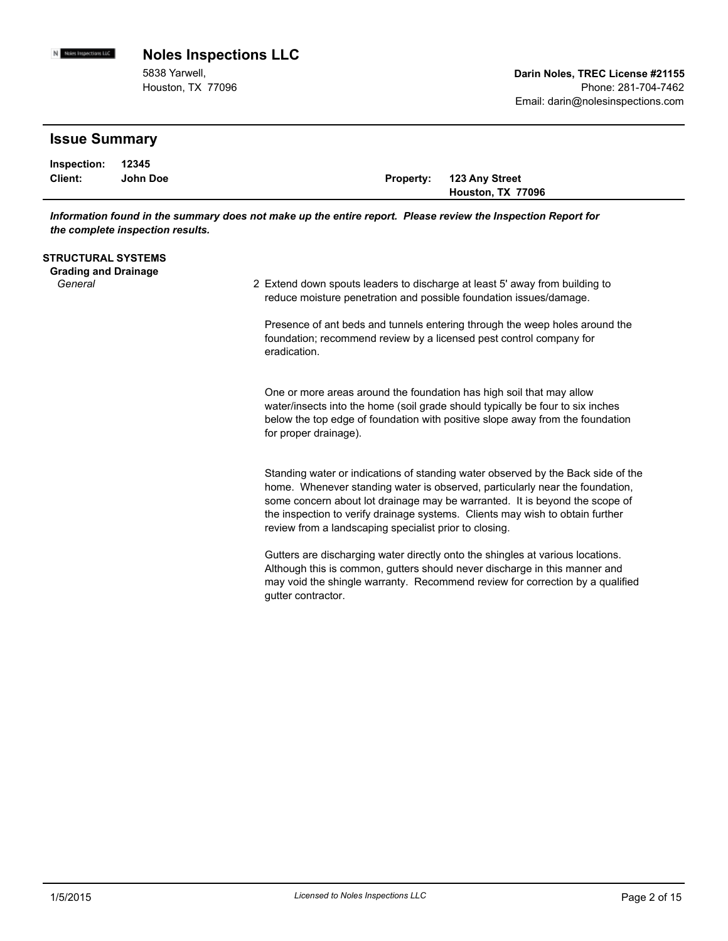5838 Yarwell, Houston, TX 77096

### **Issue Summary**

N Noies Impections LLC

| Inspection: 12345 |          |                          |
|-------------------|----------|--------------------------|
| Client:           | John Doe | Property: 123 Any Street |
|                   |          | Houston, TX 77096        |

*Information found in the summary does not make up the entire report. Please review the Inspection Report for the complete inspection results.*

#### **STRUCTURAL SYSTEMS**

**Grading and Drainage**

General **Extend down spouts leaders to discharge at least 5' away from building to**  $\overline{a}$ reduce moisture penetration and possible foundation issues/damage.

> Presence of ant beds and tunnels entering through the weep holes around the foundation; recommend review by a licensed pest control company for eradication.

> One or more areas around the foundation has high soil that may allow water/insects into the home (soil grade should typically be four to six inches below the top edge of foundation with positive slope away from the foundation for proper drainage).

Standing water or indications of standing water observed by the Back side of the home. Whenever standing water is observed, particularly near the foundation, some concern about lot drainage may be warranted. It is beyond the scope of the inspection to verify drainage systems. Clients may wish to obtain further review from a landscaping specialist prior to closing.

Gutters are discharging water directly onto the shingles at various locations. Although this is common, gutters should never discharge in this manner and may void the shingle warranty. Recommend review for correction by a qualified gutter contractor.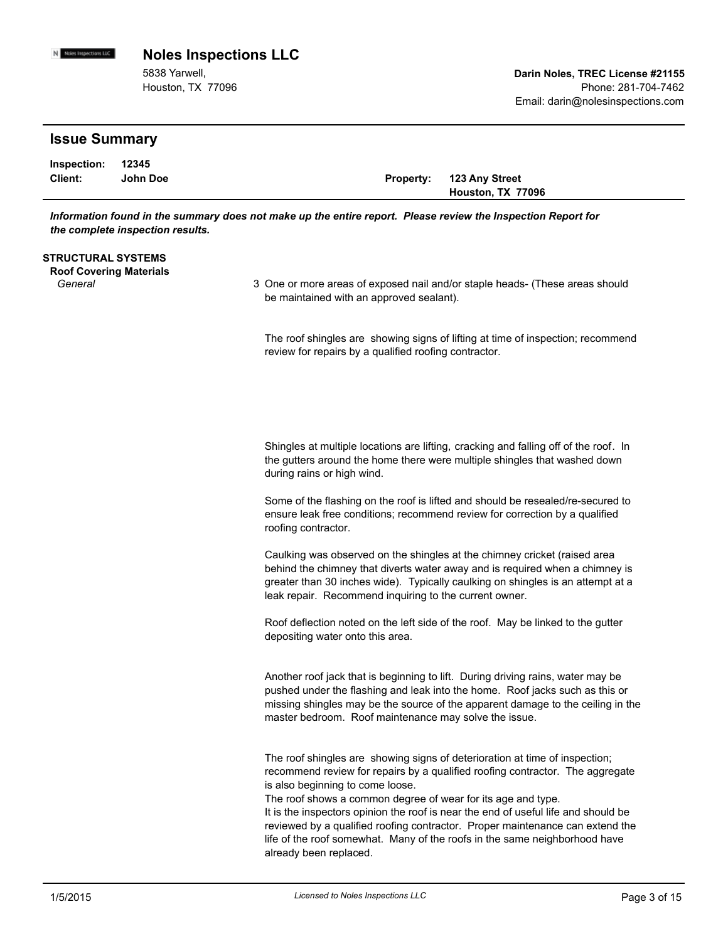N Noies Impections LLC **Noles Inspections LLC**

> 5838 Yarwell, Houston, TX 77096

### **Issue Summary**

| Inspection: 12345 |          |                          |
|-------------------|----------|--------------------------|
| Client:           | John Doe | Property: 123 Any Street |
|                   |          | Houston, TX 77096        |

*Information found in the summary does not make up the entire report. Please review the Inspection Report for the complete inspection results.*

#### **STRUCTURAL SYSTEMS**

**Roof Covering Materials**

General **Summan State Coneral** 3 One or more areas of exposed nail and/or staple heads- (These areas should and/or be maintained with an approved sealant).

> The roof shingles are showing signs of lifting at time of inspection; recommend review for repairs by a qualified roofing contractor.

Shingles at multiple locations are lifting, cracking and falling off of the roof. In the gutters around the home there were multiple shingles that washed down during rains or high wind.

Some of the flashing on the roof is lifted and should be resealed/re-secured to ensure leak free conditions; recommend review for correction by a qualified roofing contractor.

Caulking was observed on the shingles at the chimney cricket (raised area behind the chimney that diverts water away and is required when a chimney is greater than 30 inches wide). Typically caulking on shingles is an attempt at a leak repair. Recommend inquiring to the current owner.

Roof deflection noted on the left side of the roof. May be linked to the gutter depositing water onto this area.

Another roof jack that is beginning to lift. During driving rains, water may be pushed under the flashing and leak into the home. Roof jacks such as this or missing shingles may be the source of the apparent damage to the ceiling in the master bedroom. Roof maintenance may solve the issue.

The roof shingles are showing signs of deterioration at time of inspection; recommend review for repairs by a qualified roofing contractor. The aggregate is also beginning to come loose.

The roof shows a common degree of wear for its age and type.

It is the inspectors opinion the roof is near the end of useful life and should be reviewed by a qualified roofing contractor. Proper maintenance can extend the life of the roof somewhat. Many of the roofs in the same neighborhood have already been replaced.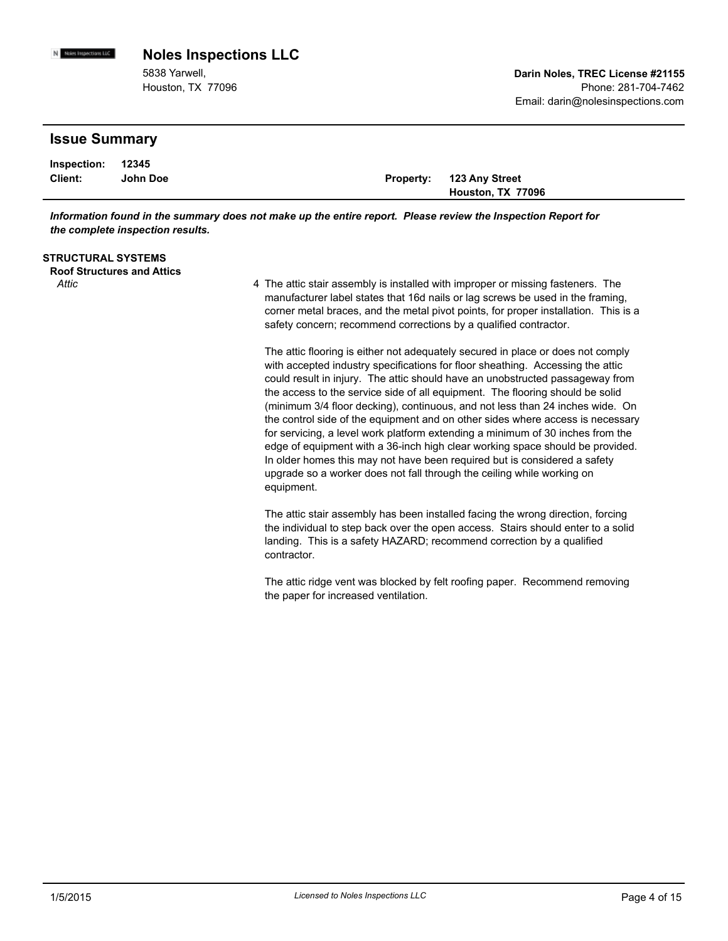5838 Yarwell, Houston, TX 77096

### **Issue Summary**

N Noies Impections LLC

| Inspection: 12345 |          |                          |
|-------------------|----------|--------------------------|
| Client:           | John Doe | Property: 123 Any Street |
|                   |          | Houston, TX 77096        |

*Information found in the summary does not make up the entire report. Please review the Inspection Report for the complete inspection results.*

#### **STRUCTURAL SYSTEMS**

**Roof Structures and Attics**

Attic **Attic 1988 10 10 4** The attic stair assembly is installed with improper or missing fasteners. The manufacturer label states that 16d nails or lag screws be used in the framing, corner metal braces, and the metal pivot points, for proper installation. This is a safety concern; recommend corrections by a qualified contractor.

> The attic flooring is either not adequately secured in place or does not comply with accepted industry specifications for floor sheathing. Accessing the attic could result in injury. The attic should have an unobstructed passageway from the access to the service side of all equipment. The flooring should be solid (minimum 3/4 floor decking), continuous, and not less than 24 inches wide. On the control side of the equipment and on other sides where access is necessary for servicing, a level work platform extending a minimum of 30 inches from the edge of equipment with a 36-inch high clear working space should be provided. In older homes this may not have been required but is considered a safety upgrade so a worker does not fall through the ceiling while working on equipment.

The attic stair assembly has been installed facing the wrong direction, forcing the individual to step back over the open access. Stairs should enter to a solid landing. This is a safety HAZARD; recommend correction by a qualified contractor.

The attic ridge vent was blocked by felt roofing paper. Recommend removing the paper for increased ventilation.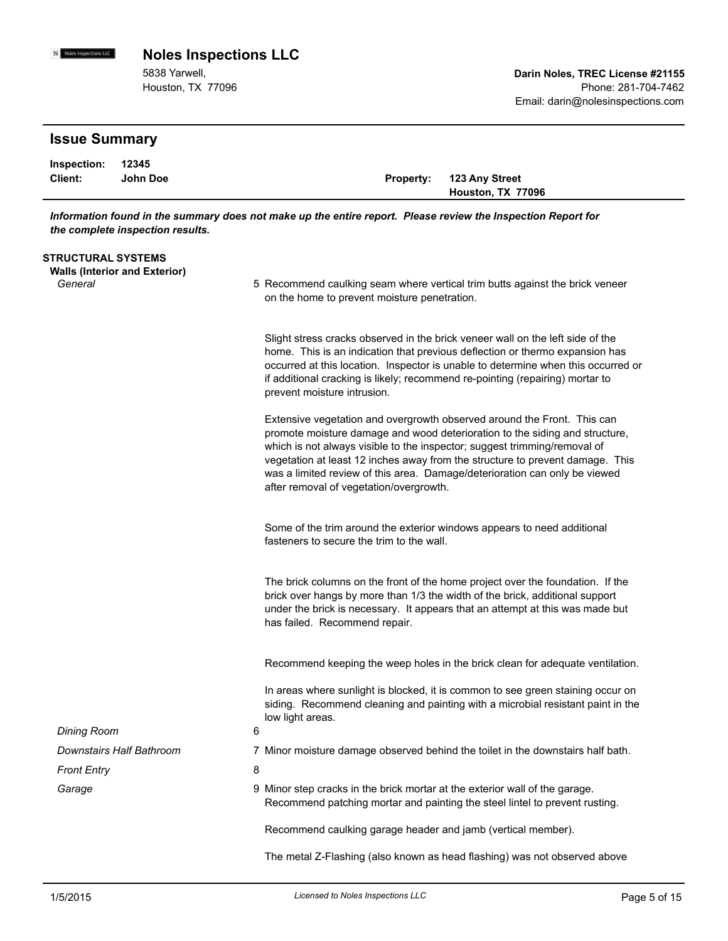5838 Yarwell, Houston, TX 77096

# **Issue Summary**

N Noies Impections LLC

| Inspection: 12345 |          |                          |
|-------------------|----------|--------------------------|
| Client:           | John Doe | Property: 123 Any Street |
|                   |          | Houston, TX 77096        |

*Information found in the summary does not make up the entire report. Please review the Inspection Report for the complete inspection results.*

| STRUCTURAL SYSTEMS<br><b>Walls (Interior and Exterior)</b> |                                                                                                                                                                                                                                                                                                                                                                                                                                               |
|------------------------------------------------------------|-----------------------------------------------------------------------------------------------------------------------------------------------------------------------------------------------------------------------------------------------------------------------------------------------------------------------------------------------------------------------------------------------------------------------------------------------|
| General                                                    | 5 Recommend caulking seam where vertical trim butts against the brick veneer<br>on the home to prevent moisture penetration.                                                                                                                                                                                                                                                                                                                  |
|                                                            | Slight stress cracks observed in the brick veneer wall on the left side of the<br>home. This is an indication that previous deflection or thermo expansion has<br>occurred at this location. Inspector is unable to determine when this occurred or<br>if additional cracking is likely; recommend re-pointing (repairing) mortar to<br>prevent moisture intrusion.                                                                           |
|                                                            | Extensive vegetation and overgrowth observed around the Front. This can<br>promote moisture damage and wood deterioration to the siding and structure,<br>which is not always visible to the inspector; suggest trimming/removal of<br>vegetation at least 12 inches away from the structure to prevent damage. This<br>was a limited review of this area. Damage/deterioration can only be viewed<br>after removal of vegetation/overgrowth. |
|                                                            | Some of the trim around the exterior windows appears to need additional<br>fasteners to secure the trim to the wall.                                                                                                                                                                                                                                                                                                                          |
|                                                            | The brick columns on the front of the home project over the foundation. If the<br>brick over hangs by more than 1/3 the width of the brick, additional support<br>under the brick is necessary. It appears that an attempt at this was made but<br>has failed. Recommend repair.                                                                                                                                                              |
|                                                            | Recommend keeping the weep holes in the brick clean for adequate ventilation.                                                                                                                                                                                                                                                                                                                                                                 |
|                                                            | In areas where sunlight is blocked, it is common to see green staining occur on<br>siding. Recommend cleaning and painting with a microbial resistant paint in the<br>low light areas.                                                                                                                                                                                                                                                        |
| <b>Dining Room</b>                                         | 6                                                                                                                                                                                                                                                                                                                                                                                                                                             |
| Downstairs Half Bathroom                                   | 7 Minor moisture damage observed behind the toilet in the downstairs half bath.                                                                                                                                                                                                                                                                                                                                                               |
| <b>Front Entry</b>                                         | 8                                                                                                                                                                                                                                                                                                                                                                                                                                             |
| Garage                                                     | 9 Minor step cracks in the brick mortar at the exterior wall of the garage.<br>Recommend patching mortar and painting the steel lintel to prevent rusting.                                                                                                                                                                                                                                                                                    |
|                                                            | Recommend caulking garage header and jamb (vertical member).                                                                                                                                                                                                                                                                                                                                                                                  |
|                                                            | The metal Z-Flashing (also known as head flashing) was not observed above                                                                                                                                                                                                                                                                                                                                                                     |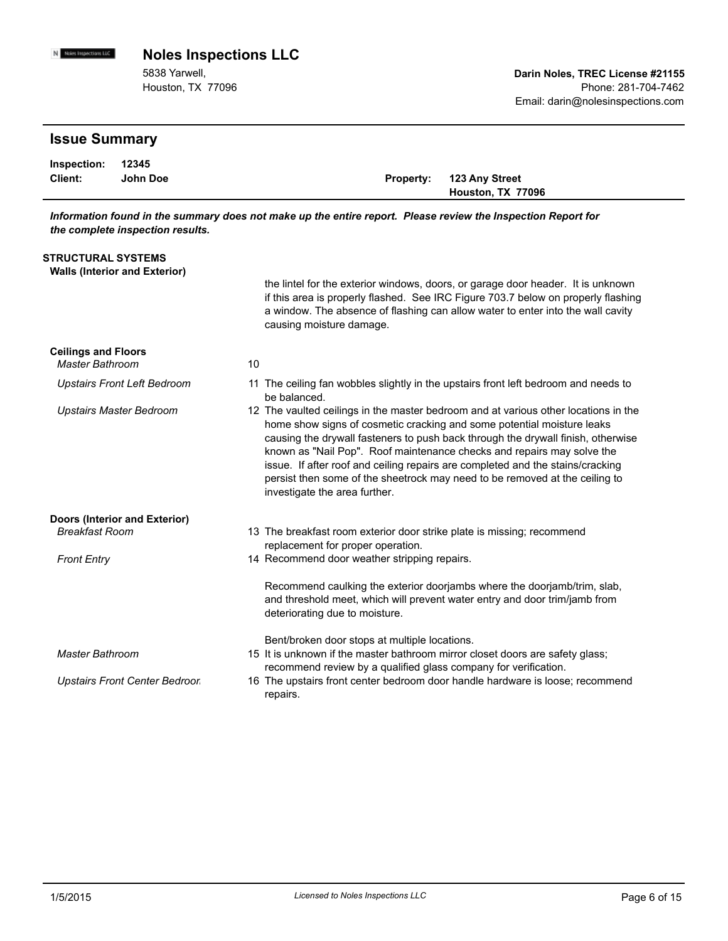N Noies Impections LLC **Noles Inspections LLC**

> 5838 Yarwell, Houston, TX 77096

### **Issue Summary Client: John Doe Inspection: Property: 123 Any Street Houston, TX 77096 12345** *Information found in the summary does not make up the entire report. Please review the Inspection Report for the complete inspection results.* **STRUCTURAL SYSTEMS Walls (Interior and Exterior)** the lintel for the exterior windows, doors, or garage door header. It is unknown if this area is properly flashed. See IRC Figure 703.7 below on properly flashing a window. The absence of flashing can allow water to enter into the wall cavity causing moisture damage. **Ceilings and Floors** *Master Bathroom* 10 Upstairs Front Left Bedroom 11 The ceiling fan wobbles slightly in the upstairs front left bedroom and needs to be balanced. Upstairs Master Bedroom **12** The vaulted ceilings in the master bedroom and at various other locations in the home show signs of cosmetic cracking and some potential moisture leaks causing the drywall fasteners to push back through the drywall finish, otherwise known as "Nail Pop". Roof maintenance checks and repairs may solve the issue. If after roof and ceiling repairs are completed and the stains/cracking persist then some of the sheetrock may need to be removed at the ceiling to investigate the area further. **Doors (Interior and Exterior)** Breakfast Room **booking the breakfast room exterior door strike plate is missing; recommend by the Breakfast Room** replacement for proper operation. Front Entry **Entry 2008** 14 Recommend door weather stripping repairs. Recommend caulking the exterior doorjambs where the doorjamb/trim, slab, and threshold meet, which will prevent water entry and door trim/jamb from deteriorating due to moisture. Bent/broken door stops at multiple locations. Master Bathroom **15 It is unknown if the master bathroom** mirror closet doors are safety glass; recommend review by a qualified glass company for verification. The upstairs front center bedroom door handle hardware is loose; recommend repairs. *Upstairs Front Center Bedroor*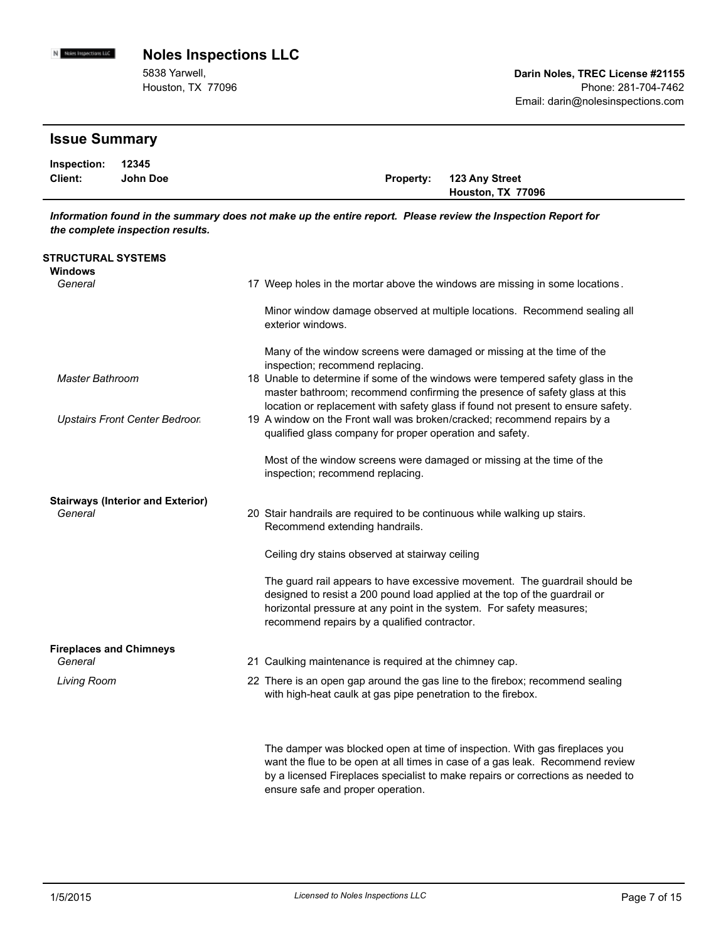5838 Yarwell, Houston, TX 77096

# **Issue Summary**

N Noies Impections LLC

| Inspection: 12345 |          |                          |
|-------------------|----------|--------------------------|
| <b>Client:</b>    | John Doe | Property: 123 Any Street |
|                   |          | Houston, TX 77096        |

*Information found in the summary does not make up the entire report. Please review the Inspection Report for the complete inspection results.*

| <b>STRUCTURAL SYSTEMS</b>                           |                                                                                                                                                                                                                                                                                  |
|-----------------------------------------------------|----------------------------------------------------------------------------------------------------------------------------------------------------------------------------------------------------------------------------------------------------------------------------------|
| Windows<br>General                                  | 17 Weep holes in the mortar above the windows are missing in some locations.                                                                                                                                                                                                     |
|                                                     | Minor window damage observed at multiple locations. Recommend sealing all<br>exterior windows.                                                                                                                                                                                   |
|                                                     | Many of the window screens were damaged or missing at the time of the<br>inspection; recommend replacing.                                                                                                                                                                        |
| <b>Master Bathroom</b>                              | 18 Unable to determine if some of the windows were tempered safety glass in the<br>master bathroom; recommend confirming the presence of safety glass at this                                                                                                                    |
| <b>Upstairs Front Center Bedroor</b>                | location or replacement with safety glass if found not present to ensure safety.<br>19 A window on the Front wall was broken/cracked; recommend repairs by a<br>qualified glass company for proper operation and safety.                                                         |
|                                                     | Most of the window screens were damaged or missing at the time of the<br>inspection; recommend replacing.                                                                                                                                                                        |
| <b>Stairways (Interior and Exterior)</b><br>General | 20 Stair handrails are required to be continuous while walking up stairs.<br>Recommend extending handrails.                                                                                                                                                                      |
|                                                     | Ceiling dry stains observed at stairway ceiling                                                                                                                                                                                                                                  |
|                                                     | The guard rail appears to have excessive movement. The guardrail should be<br>designed to resist a 200 pound load applied at the top of the guardrail or<br>horizontal pressure at any point in the system. For safety measures;<br>recommend repairs by a qualified contractor. |
| <b>Fireplaces and Chimneys</b><br>General           | 21 Caulking maintenance is required at the chimney cap.                                                                                                                                                                                                                          |
| Living Room                                         | 22 There is an open gap around the gas line to the firebox; recommend sealing<br>with high-heat caulk at gas pipe penetration to the firebox.                                                                                                                                    |
|                                                     | The damper was blocked open at time of inspection. With gas fireplaces you                                                                                                                                                                                                       |

want the flue to be open at all times in case of a gas leak. Recommend review by a licensed Fireplaces specialist to make repairs or corrections as needed to ensure safe and proper operation.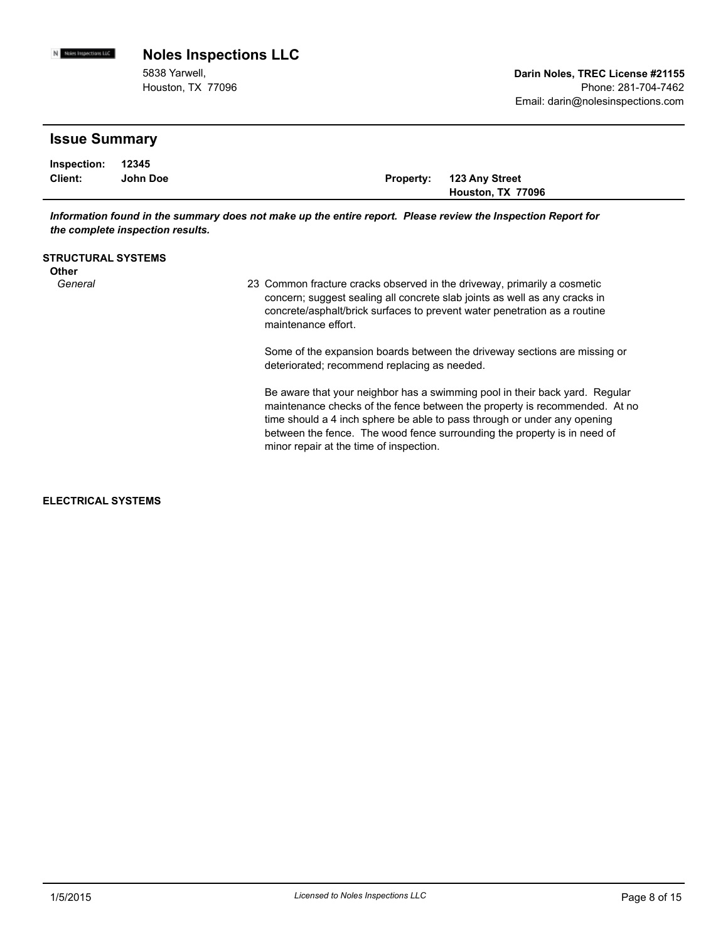**Issue Summary Client: John Doe Inspection: Property: 123 Any Street Houston, TX 77096 12345** 5838 Yarwell, Houston, TX 77096 **Darin Noles, TREC License #21155** Phone: 281-704-7462 Email: darin@nolesinspections.com **Noles Inspections LLC** *Information found in the summary does not make up the entire report. Please review the Inspection Report for the complete inspection results.* **STRUCTURAL SYSTEMS Other** General *General* 23 Common fracture cracks observed in the driveway, primarily a cosmetic concern; suggest sealing all concrete slab joints as well as any cracks in concrete/asphalt/brick surfaces to prevent water penetration as a routine maintenance effort.<br>Some of the expansion boards between the driveway sections are missing or

deteriorated; recommend replacing as needed.

Be aware that your neighbor has a swimming pool in their back yard. Regular maintenance checks of the fence between the property is recommended. At no time should a 4 inch sphere be able to pass through or under any opening between the fence. The wood fence surrounding the property is in need of minor repair at the time of inspection.

**ELECTRICAL SYSTEMS**

N Noies impections LLC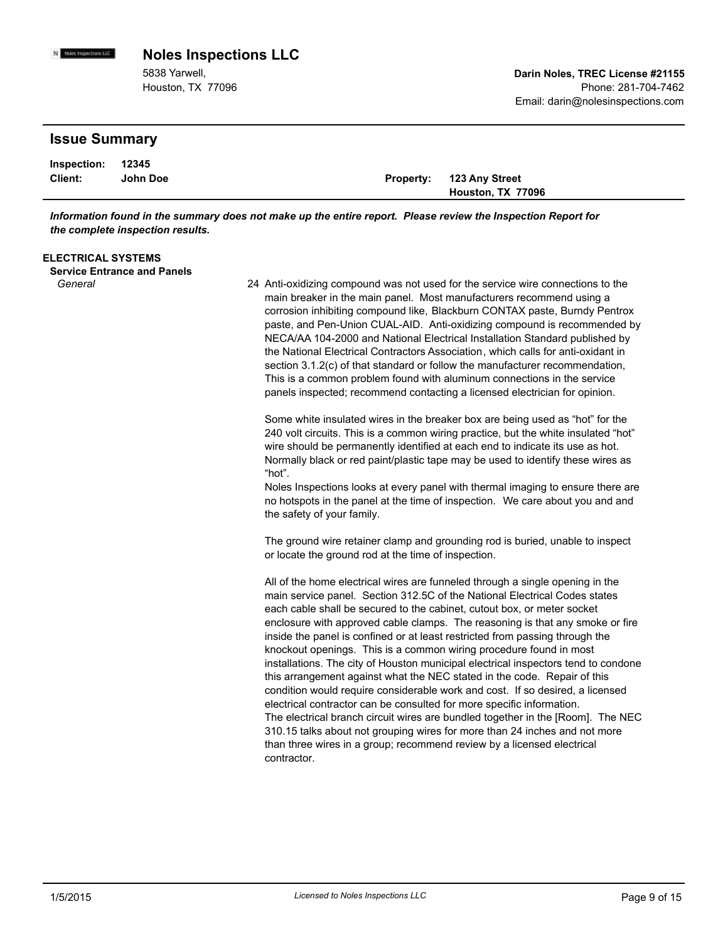5838 Yarwell, Houston, TX 77096

### **Issue Summary**

N Noies Impections LLC

| Inspection: 12345 |          |                          |
|-------------------|----------|--------------------------|
| Client:           | John Doe | Property: 123 Any Street |
|                   |          | Houston, TX 77096        |

*Information found in the summary does not make up the entire report. Please review the Inspection Report for the complete inspection results.*

| <b>ELECTRICAL SYSTEMS</b> |  |
|---------------------------|--|
|---------------------------|--|

**Service Entrance and Panels**

Anti-oxidizing compound was not used for the service wire connections to the *General* 24 main breaker in the main panel. Most manufacturers recommend using a corrosion inhibiting compound like, Blackburn CONTAX paste, Burndy Pentrox paste, and Pen-Union CUAL-AID. Anti-oxidizing compound is recommended by NECA/AA 104-2000 and National Electrical Installation Standard published by the National Electrical Contractors Association, which calls for anti-oxidant in section 3.1.2(c) of that standard or follow the manufacturer recommendation, This is a common problem found with aluminum connections in the service panels inspected; recommend contacting a licensed electrician for opinion.

> Some white insulated wires in the breaker box are being used as "hot" for the 240 volt circuits. This is a common wiring practice, but the white insulated "hot" wire should be permanently identified at each end to indicate its use as hot. Normally black or red paint/plastic tape may be used to identify these wires as "hot".

Noles Inspections looks at every panel with thermal imaging to ensure there are no hotspots in the panel at the time of inspection. We care about you and and the safety of your family.

The ground wire retainer clamp and grounding rod is buried, unable to inspect or locate the ground rod at the time of inspection.

All of the home electrical wires are funneled through a single opening in the main service panel. Section 312.5C of the National Electrical Codes states each cable shall be secured to the cabinet, cutout box, or meter socket enclosure with approved cable clamps. The reasoning is that any smoke or fire inside the panel is confined or at least restricted from passing through the knockout openings. This is a common wiring procedure found in most installations. The city of Houston municipal electrical inspectors tend to condone this arrangement against what the NEC stated in the code. Repair of this condition would require considerable work and cost. If so desired, a licensed electrical contractor can be consulted for more specific information. The electrical branch circuit wires are bundled together in the [Room]. The NEC 310.15 talks about not grouping wires for more than 24 inches and not more than three wires in a group; recommend review by a licensed electrical contractor.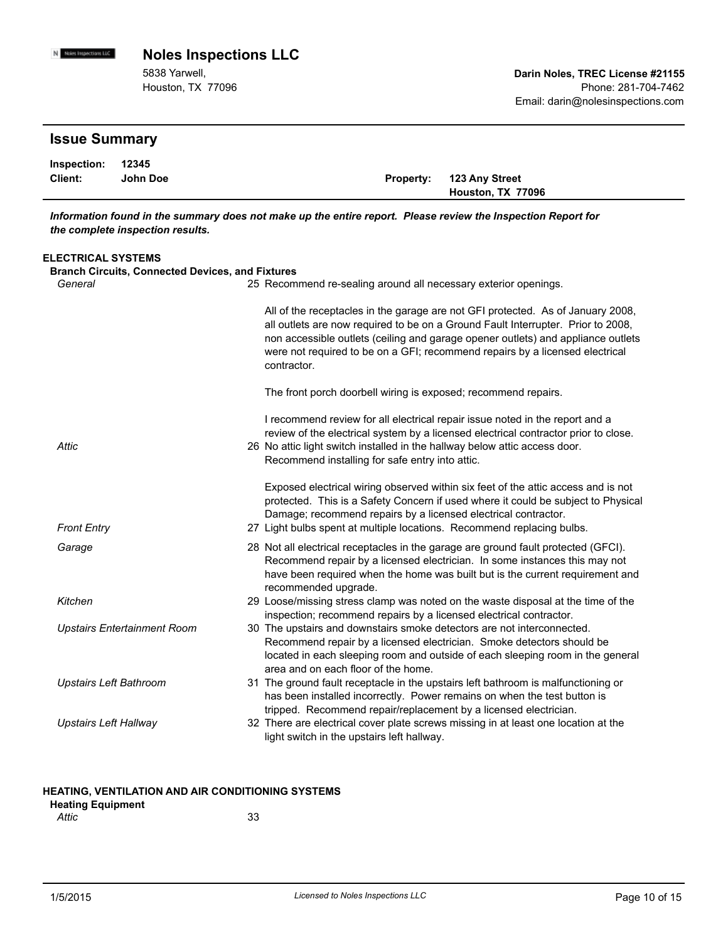5838 Yarwell, Houston, TX 77096

### **Issue Summary**

N Noies Impections LLC

| Inspection: 12345 |          |                          |
|-------------------|----------|--------------------------|
| <b>Client:</b>    | John Doe | Property: 123 Any Street |
|                   |          | Houston, TX 77096        |

*Information found in the summary does not make up the entire report. Please review the Inspection Report for the complete inspection results.*

### **ELECTRICAL SYSTEMS Branch Circuits, Connected Devices, and Fixtures** General **Exercise 25 Recommend re-sealing around all necessary exterior openings.** All of the receptacles in the garage are not GFI protected. As of January 2008, all outlets are now required to be on a Ground Fault Interrupter. Prior to 2008, non accessible outlets (ceiling and garage opener outlets) and appliance outlets were not required to be on a GFI; recommend repairs by a licensed electrical contractor. The front porch doorbell wiring is exposed; recommend repairs. I recommend review for all electrical repair issue noted in the report and a review of the electrical system by a licensed electrical contractor prior to close. Attic *Attic* **1988 1988 1989 1989 1989 1989 1989 1989 1989 1989 1989 1989 1989 1989 1989 1989 1989 1989 1989 1989 1989 1989 1989 1989 1989 1989 1989 1989 1989 19** Recommend installing for safe entry into attic. Exposed electrical wiring observed within six feet of the attic access and is not protected. This is a Safety Concern if used where it could be subject to Physical

Damage; recommend repairs by a licensed electrical contractor. *Front Entry* 27 Light bulbs spent at multiple locations. Recommend replacing bulbs. Garage **1988** 28 Not all electrical receptacles in the garage are ground fault protected (GFCI). Recommend repair by a licensed electrician. In some instances this may not

| The commentational by a licensed electrician. This onlie instances this may not |
|---------------------------------------------------------------------------------|
| have been required when the home was built but is the current requirement and   |
| recommended upgrade.                                                            |
|                                                                                 |

| Kitchen | 29 Loose/missing stress clamp was noted on the waste disposal at the time of the |
|---------|----------------------------------------------------------------------------------|
|         | inspection; recommend repairs by a licensed electrical contractor.               |

- The upstairs and downstairs smoke detectors are not interconnected. Recommend repair by a licensed electrician. Smoke detectors should be located in each sleeping room and outside of each sleeping room in the general area and on each floor of the home. **Upstairs Entertainment Room**
- Upstairs Left Bathroom 31 The ground fault receptacle in the upstairs left bathroom is malfunctioning or has been installed incorrectly. Power remains on when the test button is tripped. Recommend repair/replacement by a licensed electrician.
- Upstairs Left Hallway **32 There are electrical cover plate screws** missing in at least one location at the Upstairs light switch in the upstairs left hallway.

#### **HEATING, VENTILATION AND AIR CONDITIONING SYSTEMS**

| <b>Heating Equipment</b> |    |
|--------------------------|----|
| Attic                    | 33 |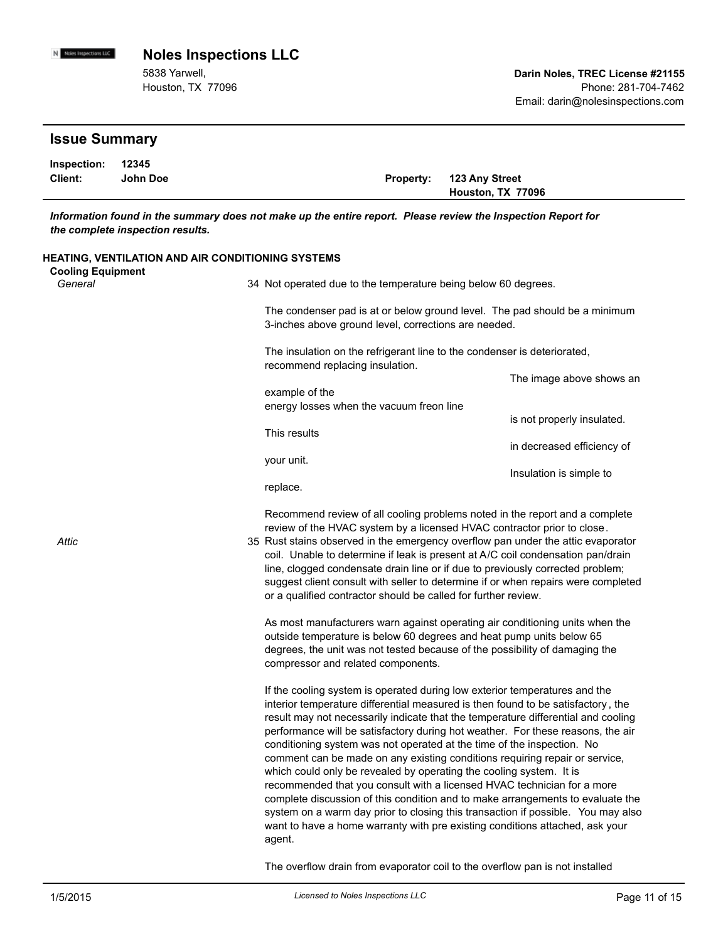5838 Yarwell, Houston, TX 77096

# **Issue Summary**

N Noies Impections LLC

| Inspection: 12345 |          |                          |
|-------------------|----------|--------------------------|
| Client:           | John Doe | Property: 123 Any Street |
|                   |          | Houston, TX 77096        |

*Information found in the summary does not make up the entire report. Please review the Inspection Report for the complete inspection results.*

| HEATING, VENTILATION AND AIR CONDITIONING SYSTEMS<br><b>Cooling Equipment</b> |                                                                                                                                                                                                                                                                                                                                                                                                                                                                                 |                                                                                                                                                                                                                                                                                                                                                                                                                                |
|-------------------------------------------------------------------------------|---------------------------------------------------------------------------------------------------------------------------------------------------------------------------------------------------------------------------------------------------------------------------------------------------------------------------------------------------------------------------------------------------------------------------------------------------------------------------------|--------------------------------------------------------------------------------------------------------------------------------------------------------------------------------------------------------------------------------------------------------------------------------------------------------------------------------------------------------------------------------------------------------------------------------|
| General                                                                       | 34 Not operated due to the temperature being below 60 degrees.                                                                                                                                                                                                                                                                                                                                                                                                                  |                                                                                                                                                                                                                                                                                                                                                                                                                                |
|                                                                               | 3-inches above ground level, corrections are needed.                                                                                                                                                                                                                                                                                                                                                                                                                            | The condenser pad is at or below ground level. The pad should be a minimum                                                                                                                                                                                                                                                                                                                                                     |
|                                                                               | The insulation on the refrigerant line to the condenser is deteriorated,<br>recommend replacing insulation.                                                                                                                                                                                                                                                                                                                                                                     |                                                                                                                                                                                                                                                                                                                                                                                                                                |
| example of the                                                                |                                                                                                                                                                                                                                                                                                                                                                                                                                                                                 | The image above shows an                                                                                                                                                                                                                                                                                                                                                                                                       |
|                                                                               | energy losses when the vacuum freon line                                                                                                                                                                                                                                                                                                                                                                                                                                        | is not properly insulated.                                                                                                                                                                                                                                                                                                                                                                                                     |
|                                                                               | This results                                                                                                                                                                                                                                                                                                                                                                                                                                                                    | in decreased efficiency of                                                                                                                                                                                                                                                                                                                                                                                                     |
|                                                                               | your unit.<br>replace.                                                                                                                                                                                                                                                                                                                                                                                                                                                          | Insulation is simple to                                                                                                                                                                                                                                                                                                                                                                                                        |
|                                                                               |                                                                                                                                                                                                                                                                                                                                                                                                                                                                                 | Recommend review of all cooling problems noted in the report and a complete                                                                                                                                                                                                                                                                                                                                                    |
| Attic                                                                         | review of the HVAC system by a licensed HVAC contractor prior to close.<br>35 Rust stains observed in the emergency overflow pan under the attic evaporator<br>line, clogged condensate drain line or if due to previously corrected problem;<br>or a qualified contractor should be called for further review.                                                                                                                                                                 | coil. Unable to determine if leak is present at A/C coil condensation pan/drain<br>suggest client consult with seller to determine if or when repairs were completed                                                                                                                                                                                                                                                           |
|                                                                               | outside temperature is below 60 degrees and heat pump units below 65<br>degrees, the unit was not tested because of the possibility of damaging the<br>compressor and related components.                                                                                                                                                                                                                                                                                       | As most manufacturers warn against operating air conditioning units when the                                                                                                                                                                                                                                                                                                                                                   |
|                                                                               | If the cooling system is operated during low exterior temperatures and the<br>conditioning system was not operated at the time of the inspection. No<br>comment can be made on any existing conditions requiring repair or service,<br>which could only be revealed by operating the cooling system. It is<br>recommended that you consult with a licensed HVAC technician for a more<br>want to have a home warranty with pre existing conditions attached, ask your<br>agent. | interior temperature differential measured is then found to be satisfactory, the<br>result may not necessarily indicate that the temperature differential and cooling<br>performance will be satisfactory during hot weather. For these reasons, the air<br>complete discussion of this condition and to make arrangements to evaluate the<br>system on a warm day prior to closing this transaction if possible. You may also |

The overflow drain from evaporator coil to the overflow pan is not installed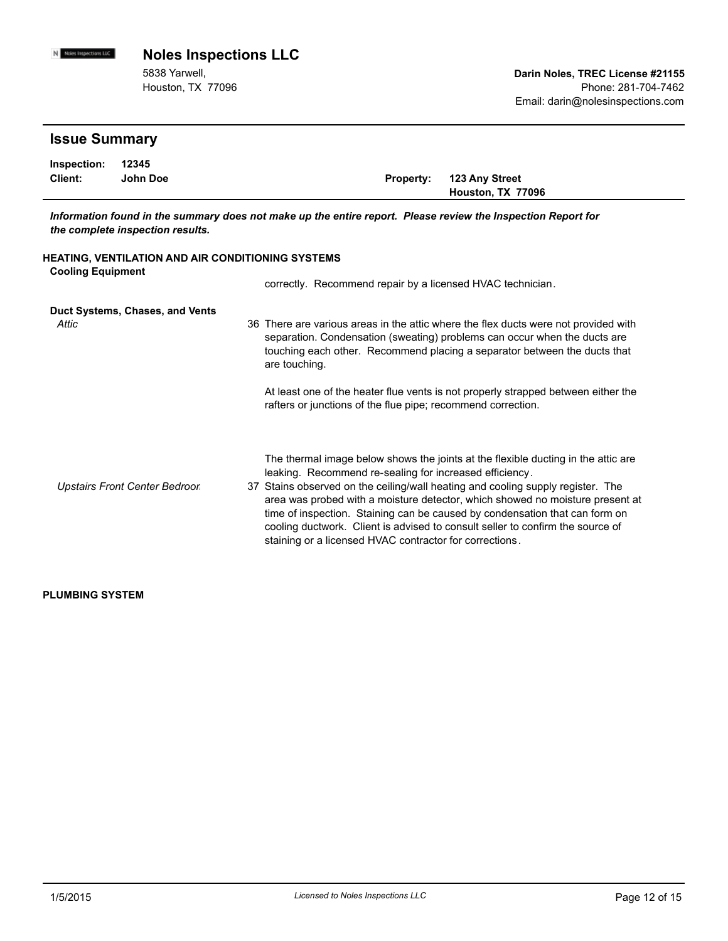5838 Yarwell, Houston, TX 77096

# **Issue Summary**

N Noies Impections LLC

| Inspection: 12345 |          |                          |
|-------------------|----------|--------------------------|
| Client:           | John Doe | Property: 123 Any Street |
|                   |          | Houston, TX 77096        |

*Information found in the summary does not make up the entire report. Please review the Inspection Report for the complete inspection results.*

| <b>HEATING, VENTILATION AND AIR CONDITIONING SYSTEMS</b><br><b>Cooling Equipment</b> |                                                                                                                                                                                                                                                                                                                                                                                                                                                                                                                                              |  |  |  |  |
|--------------------------------------------------------------------------------------|----------------------------------------------------------------------------------------------------------------------------------------------------------------------------------------------------------------------------------------------------------------------------------------------------------------------------------------------------------------------------------------------------------------------------------------------------------------------------------------------------------------------------------------------|--|--|--|--|
|                                                                                      | correctly. Recommend repair by a licensed HVAC technician.                                                                                                                                                                                                                                                                                                                                                                                                                                                                                   |  |  |  |  |
| Duct Systems, Chases, and Vents<br>Attic                                             | 36 There are various areas in the attic where the flex ducts were not provided with<br>separation. Condensation (sweating) problems can occur when the ducts are<br>touching each other. Recommend placing a separator between the ducts that<br>are touching.                                                                                                                                                                                                                                                                               |  |  |  |  |
|                                                                                      | At least one of the heater flue vents is not properly strapped between either the<br>rafters or junctions of the flue pipe; recommend correction.                                                                                                                                                                                                                                                                                                                                                                                            |  |  |  |  |
| Upstairs Front Center Bedroor                                                        | The thermal image below shows the joints at the flexible ducting in the attic are<br>leaking. Recommend re-sealing for increased efficiency.<br>37 Stains observed on the ceiling/wall heating and cooling supply register. The<br>area was probed with a moisture detector, which showed no moisture present at<br>time of inspection. Staining can be caused by condensation that can form on<br>cooling ductwork. Client is advised to consult seller to confirm the source of<br>staining or a licensed HVAC contractor for corrections. |  |  |  |  |

#### **PLUMBING SYSTEM**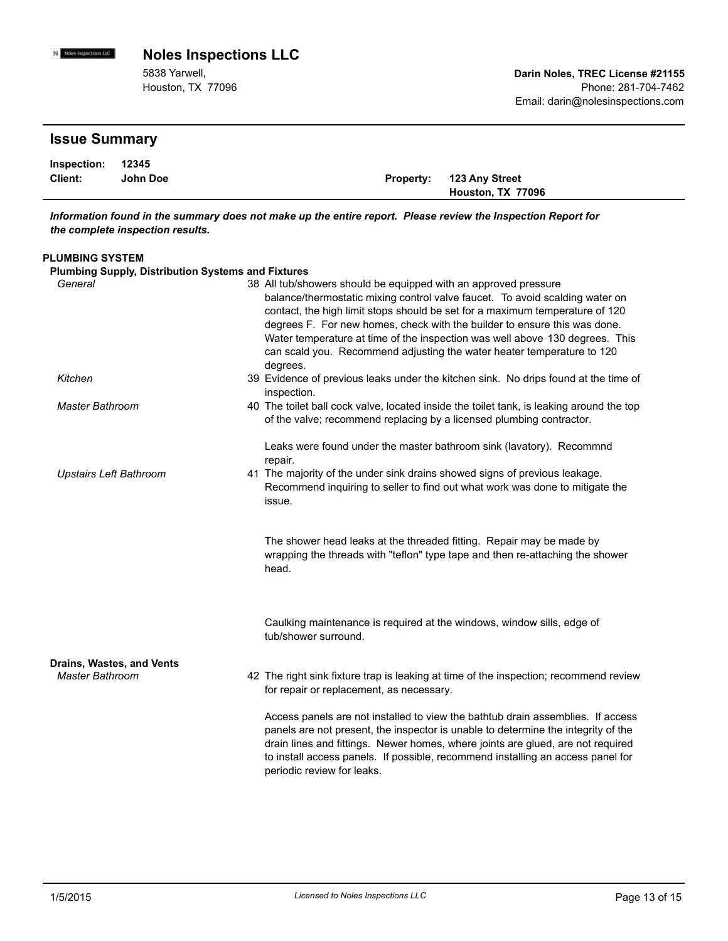5838 Yarwell, Houston, TX 77096

# **Issue Summary**

N Noies Impections LLC

| Inspection: 12345 |          |                                 |
|-------------------|----------|---------------------------------|
| Client:           | John Doe | <b>Property: 123 Any Street</b> |
|                   |          | Houston, TX 77096               |

*Information found in the summary does not make up the entire report. Please review the Inspection Report for the complete inspection results.*

#### **PLUMBING SYSTEM**

| <b>Plumbing Supply, Distribution Systems and Fixtures</b> |                                                                                                                                                                                                                                                                                                                                                                                                                                                                                    |
|-----------------------------------------------------------|------------------------------------------------------------------------------------------------------------------------------------------------------------------------------------------------------------------------------------------------------------------------------------------------------------------------------------------------------------------------------------------------------------------------------------------------------------------------------------|
| General                                                   | 38 All tub/showers should be equipped with an approved pressure<br>balance/thermostatic mixing control valve faucet. To avoid scalding water on<br>contact, the high limit stops should be set for a maximum temperature of 120<br>degrees F. For new homes, check with the builder to ensure this was done.<br>Water temperature at time of the inspection was well above 130 degrees. This<br>can scald you. Recommend adjusting the water heater temperature to 120<br>degrees. |
| Kitchen                                                   | 39 Evidence of previous leaks under the kitchen sink. No drips found at the time of<br>inspection.                                                                                                                                                                                                                                                                                                                                                                                 |
| <b>Master Bathroom</b>                                    | 40 The toilet ball cock valve, located inside the toilet tank, is leaking around the top<br>of the valve; recommend replacing by a licensed plumbing contractor.                                                                                                                                                                                                                                                                                                                   |
| <b>Upstairs Left Bathroom</b>                             | Leaks were found under the master bathroom sink (lavatory). Recommnd<br>repair.<br>41 The majority of the under sink drains showed signs of previous leakage.                                                                                                                                                                                                                                                                                                                      |
|                                                           | Recommend inquiring to seller to find out what work was done to mitigate the<br>issue.<br>The shower head leaks at the threaded fitting. Repair may be made by<br>wrapping the threads with "teflon" type tape and then re-attaching the shower<br>head.                                                                                                                                                                                                                           |
|                                                           | Caulking maintenance is required at the windows, window sills, edge of<br>tub/shower surround.                                                                                                                                                                                                                                                                                                                                                                                     |
| Drains, Wastes, and Vents<br><b>Master Bathroom</b>       | 42 The right sink fixture trap is leaking at time of the inspection; recommend review<br>for repair or replacement, as necessary.                                                                                                                                                                                                                                                                                                                                                  |
|                                                           | Access panels are not installed to view the bathtub drain assemblies. If access<br>panels are not present, the inspector is unable to determine the integrity of the<br>drain lines and fittings. Newer homes, where joints are glued, are not required<br>to install access panels. If possible, recommend installing an access panel for<br>periodic review for leaks.                                                                                                           |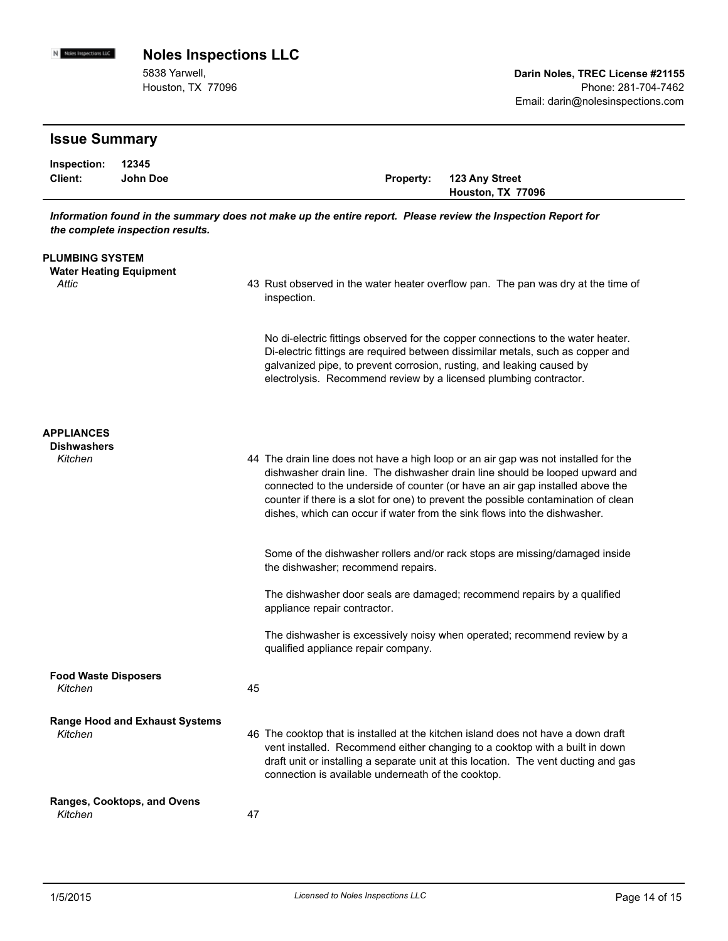5838 Yarwell, Houston, TX 77096

# **Issue Summary**

Noies impections LLC

| Inspection: 12345 |          |                          |
|-------------------|----------|--------------------------|
| Client:           | John Doe | Property: 123 Any Street |
|                   |          | Houston, TX 77096        |

*Information found in the summary does not make up the entire report. Please review the Inspection Report for the complete inspection results.*

| <b>PLUMBING SYSTEM</b><br><b>Water Heating Equipment</b><br>Attic |    | 43 Rust observed in the water heater overflow pan. The pan was dry at the time of<br>inspection.                                                                                                                                                                                                                                                                                                                        |
|-------------------------------------------------------------------|----|-------------------------------------------------------------------------------------------------------------------------------------------------------------------------------------------------------------------------------------------------------------------------------------------------------------------------------------------------------------------------------------------------------------------------|
|                                                                   |    | No di-electric fittings observed for the copper connections to the water heater.<br>Di-electric fittings are required between dissimilar metals, such as copper and<br>galvanized pipe, to prevent corrosion, rusting, and leaking caused by<br>electrolysis. Recommend review by a licensed plumbing contractor.                                                                                                       |
| <b>APPLIANCES</b>                                                 |    |                                                                                                                                                                                                                                                                                                                                                                                                                         |
| <b>Dishwashers</b><br>Kitchen                                     |    | 44 The drain line does not have a high loop or an air gap was not installed for the<br>dishwasher drain line. The dishwasher drain line should be looped upward and<br>connected to the underside of counter (or have an air gap installed above the<br>counter if there is a slot for one) to prevent the possible contamination of clean<br>dishes, which can occur if water from the sink flows into the dishwasher. |
|                                                                   |    | Some of the dishwasher rollers and/or rack stops are missing/damaged inside<br>the dishwasher; recommend repairs.                                                                                                                                                                                                                                                                                                       |
|                                                                   |    | The dishwasher door seals are damaged; recommend repairs by a qualified<br>appliance repair contractor.                                                                                                                                                                                                                                                                                                                 |
|                                                                   |    | The dishwasher is excessively noisy when operated; recommend review by a<br>qualified appliance repair company.                                                                                                                                                                                                                                                                                                         |
| <b>Food Waste Disposers</b><br>Kitchen                            | 45 |                                                                                                                                                                                                                                                                                                                                                                                                                         |
| <b>Range Hood and Exhaust Systems</b><br>Kitchen                  |    | 46 The cooktop that is installed at the kitchen island does not have a down draft<br>vent installed. Recommend either changing to a cooktop with a built in down<br>draft unit or installing a separate unit at this location. The vent ducting and gas<br>connection is available underneath of the cooktop.                                                                                                           |
| <b>Ranges, Cooktops, and Ovens</b><br>Kitchen                     | 47 |                                                                                                                                                                                                                                                                                                                                                                                                                         |